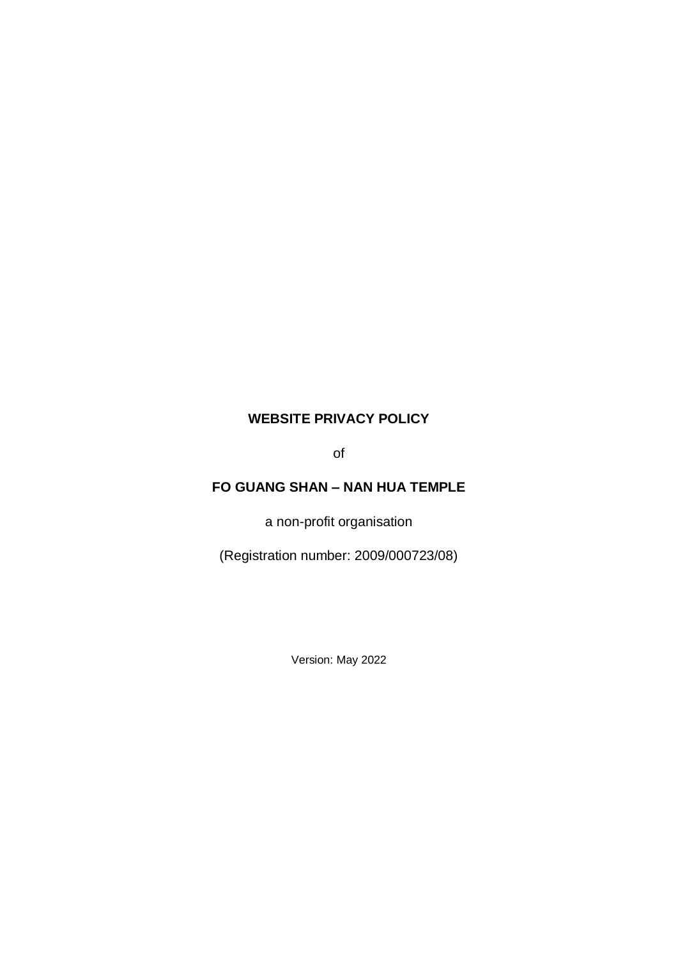# **WEBSITE PRIVACY POLICY**

of

# **FO GUANG SHAN – NAN HUA TEMPLE**

a non-profit organisation

(Registration number: 2009/000723/08)

Version: May 2022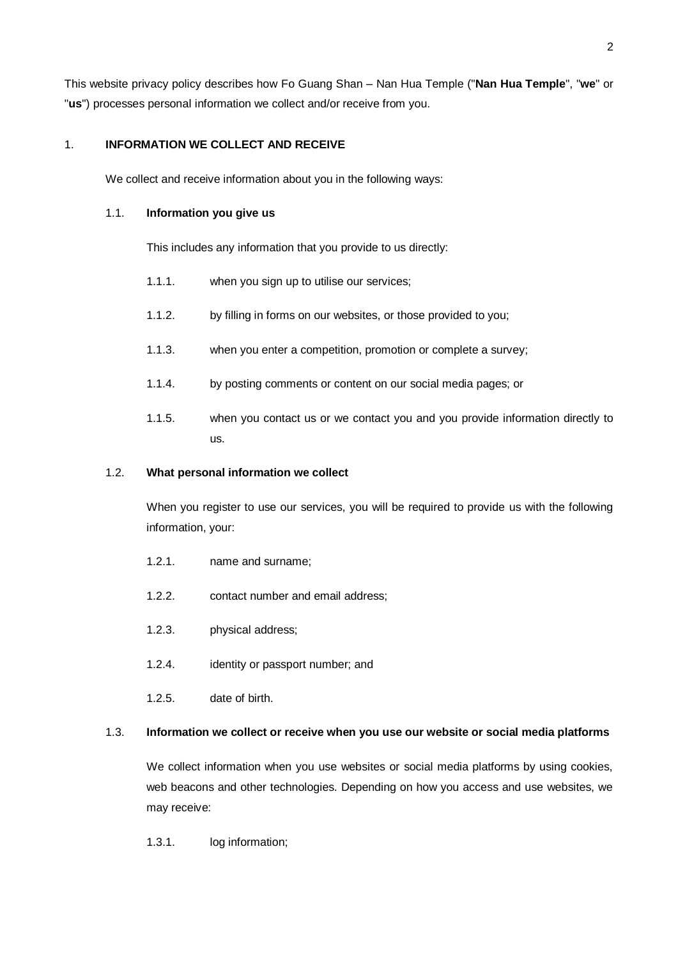This website privacy policy describes how Fo Guang Shan – Nan Hua Temple ("**Nan Hua Temple**", "**we**" or "**us**") processes personal information we collect and/or receive from you.

## 1. **INFORMATION WE COLLECT AND RECEIVE**

We collect and receive information about you in the following ways:

#### 1.1. **Information you give us**

This includes any information that you provide to us directly:

- 1.1.1. when you sign up to utilise our services;
- 1.1.2. by filling in forms on our websites, or those provided to you;
- 1.1.3. when you enter a competition, promotion or complete a survey;
- 1.1.4. by posting comments or content on our social media pages; or
- 1.1.5. when you contact us or we contact you and you provide information directly to us.

## 1.2. **What personal information we collect**

When you register to use our services, you will be required to provide us with the following information, your:

- 1.2.1. name and surname;
- 1.2.2. contact number and email address;
- 1.2.3. physical address;
- 1.2.4. identity or passport number; and
- 1.2.5. date of birth.

#### 1.3. **Information we collect or receive when you use our website or social media platforms**

We collect information when you use websites or social media platforms by using cookies, web beacons and other technologies. Depending on how you access and use websites, we may receive:

1.3.1. log information;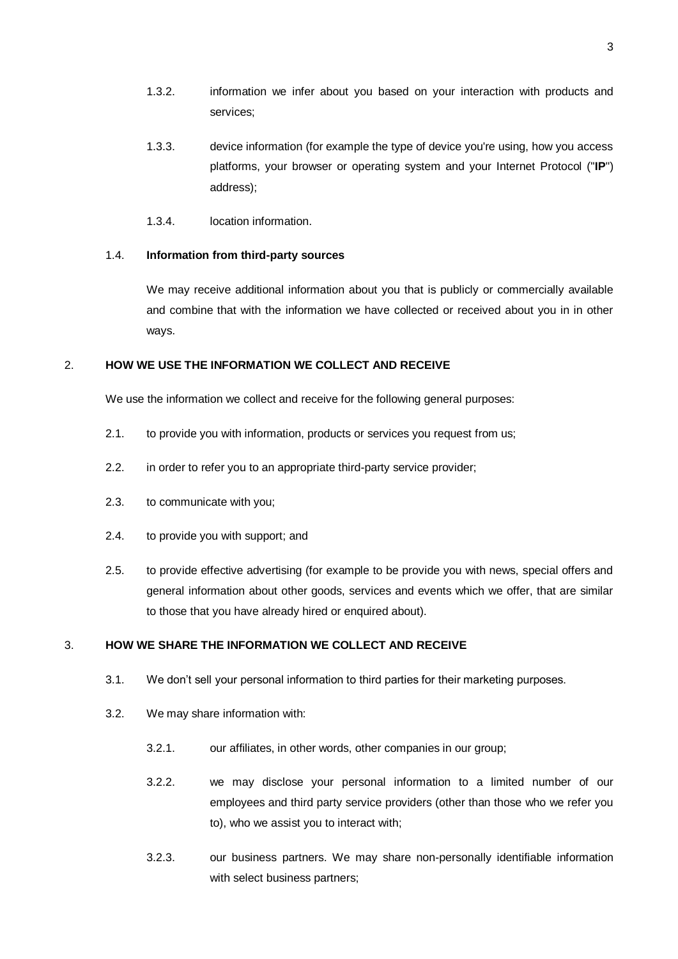- 1.3.2. information we infer about you based on your interaction with products and services;
- 1.3.3. device information (for example the type of device you're using, how you access platforms, your browser or operating system and your Internet Protocol ("**IP**") address);
- 1.3.4. location information.

#### 1.4. **Information from third-party sources**

We may receive additional information about you that is publicly or commercially available and combine that with the information we have collected or received about you in in other ways.

#### 2. **HOW WE USE THE INFORMATION WE COLLECT AND RECEIVE**

We use the information we collect and receive for the following general purposes:

- 2.1. to provide you with information, products or services you request from us;
- 2.2. in order to refer you to an appropriate third-party service provider;
- 2.3. to communicate with you;
- 2.4. to provide you with support; and
- 2.5. to provide effective advertising (for example to be provide you with news, special offers and general information about other goods, services and events which we offer, that are similar to those that you have already hired or enquired about).

#### 3. **HOW WE SHARE THE INFORMATION WE COLLECT AND RECEIVE**

- 3.1. We don't sell your personal information to third parties for their marketing purposes.
- 3.2. We may share information with:
	- 3.2.1. our affiliates, in other words, other companies in our group;
	- 3.2.2. we may disclose your personal information to a limited number of our employees and third party service providers (other than those who we refer you to), who we assist you to interact with;
	- 3.2.3. our business partners. We may share non-personally identifiable information with select business partners;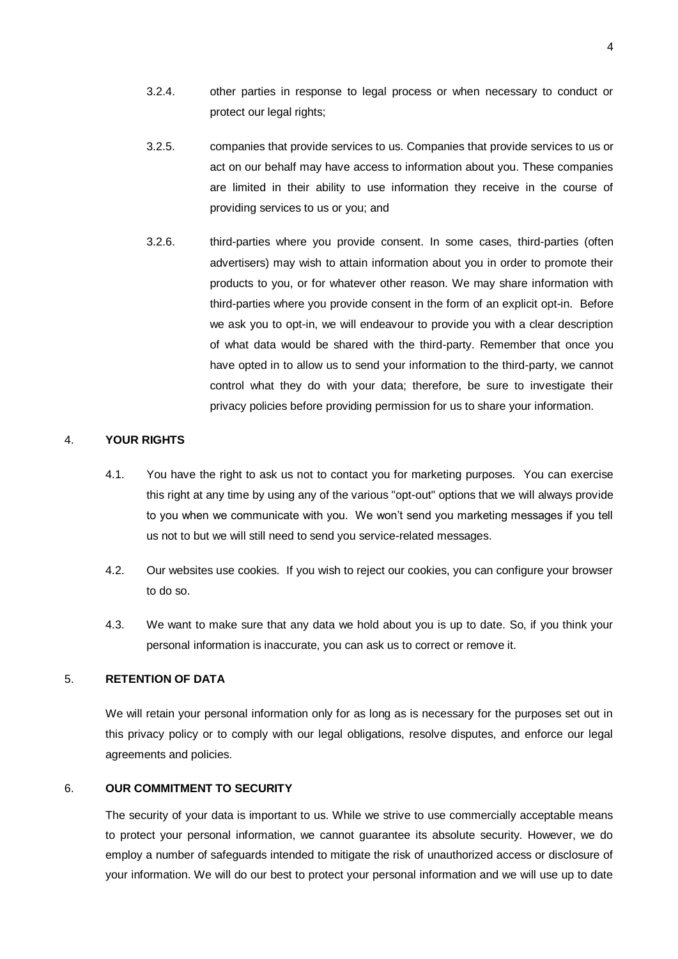- 3.2.4. other parties in response to legal process or when necessary to conduct or protect our legal rights;
- 3.2.5. companies that provide services to us. Companies that provide services to us or act on our behalf may have access to information about you. These companies are limited in their ability to use information they receive in the course of providing services to us or you; and
- 3.2.6. third-parties where you provide consent. In some cases, third-parties (often advertisers) may wish to attain information about you in order to promote their products to you, or for whatever other reason. We may share information with third-parties where you provide consent in the form of an explicit opt-in. Before we ask you to opt-in, we will endeavour to provide you with a clear description of what data would be shared with the third-party. Remember that once you have opted in to allow us to send your information to the third-party, we cannot control what they do with your data; therefore, be sure to investigate their privacy policies before providing permission for us to share your information.

## 4. **YOUR RIGHTS**

- 4.1. You have the right to ask us not to contact you for marketing purposes. You can exercise this right at any time by using any of the various "opt-out" options that we will always provide to you when we communicate with you. We won't send you marketing messages if you tell us not to but we will still need to send you service-related messages.
- 4.2. Our websites use cookies. If you wish to reject our cookies, you can configure your browser to do so.
- 4.3. We want to make sure that any data we hold about you is up to date. So, if you think your personal information is inaccurate, you can ask us to correct or remove it.

# 5. **RETENTION OF DATA**

We will retain your personal information only for as long as is necessary for the purposes set out in this privacy policy or to comply with our legal obligations, resolve disputes, and enforce our legal agreements and policies.

# 6. **OUR COMMITMENT TO SECURITY**

The security of your data is important to us. While we strive to use commercially acceptable means to protect your personal information, we cannot guarantee its absolute security. However, we do employ a number of safeguards intended to mitigate the risk of unauthorized access or disclosure of your information. We will do our best to protect your personal information and we will use up to date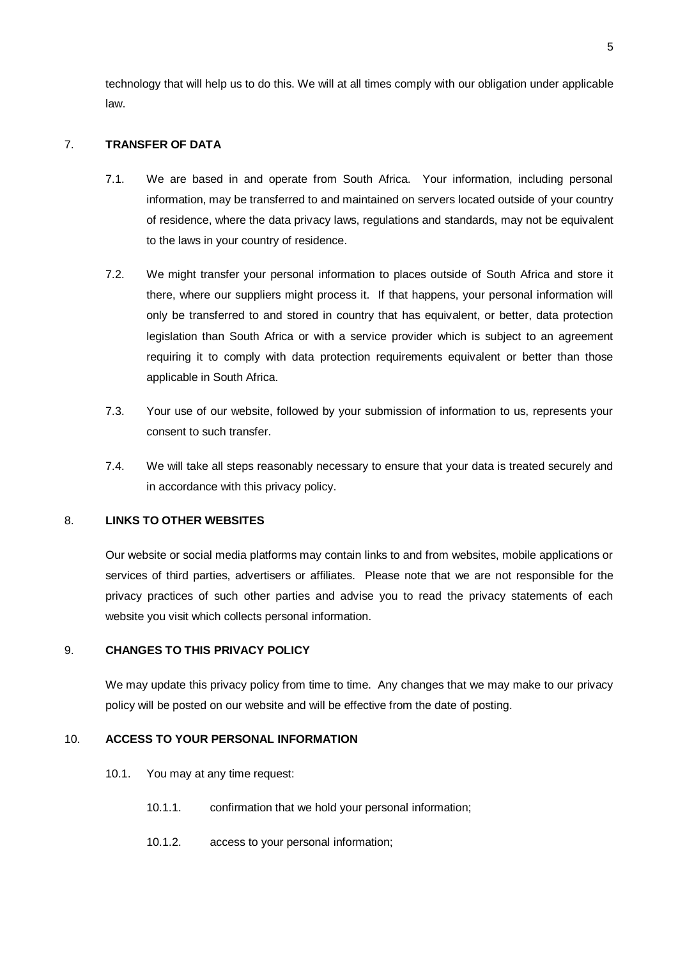technology that will help us to do this. We will at all times comply with our obligation under applicable law.

# 7. **TRANSFER OF DATA**

- 7.1. We are based in and operate from South Africa. Your information, including personal information, may be transferred to and maintained on servers located outside of your country of residence, where the data privacy laws, regulations and standards, may not be equivalent to the laws in your country of residence.
- 7.2. We might transfer your personal information to places outside of South Africa and store it there, where our suppliers might process it. If that happens, your personal information will only be transferred to and stored in country that has equivalent, or better, data protection legislation than South Africa or with a service provider which is subject to an agreement requiring it to comply with data protection requirements equivalent or better than those applicable in South Africa.
- 7.3. Your use of our website, followed by your submission of information to us, represents your consent to such transfer.
- 7.4. We will take all steps reasonably necessary to ensure that your data is treated securely and in accordance with this privacy policy.

# 8. **LINKS TO OTHER WEBSITES**

Our website or social media platforms may contain links to and from websites, mobile applications or services of third parties, advertisers or affiliates. Please note that we are not responsible for the privacy practices of such other parties and advise you to read the privacy statements of each website you visit which collects personal information.

# 9. **CHANGES TO THIS PRIVACY POLICY**

We may update this privacy policy from time to time. Any changes that we may make to our privacy policy will be posted on our website and will be effective from the date of posting.

# 10. **ACCESS TO YOUR PERSONAL INFORMATION**

- 10.1. You may at any time request:
	- 10.1.1. confirmation that we hold your personal information;
	- 10.1.2. access to your personal information;